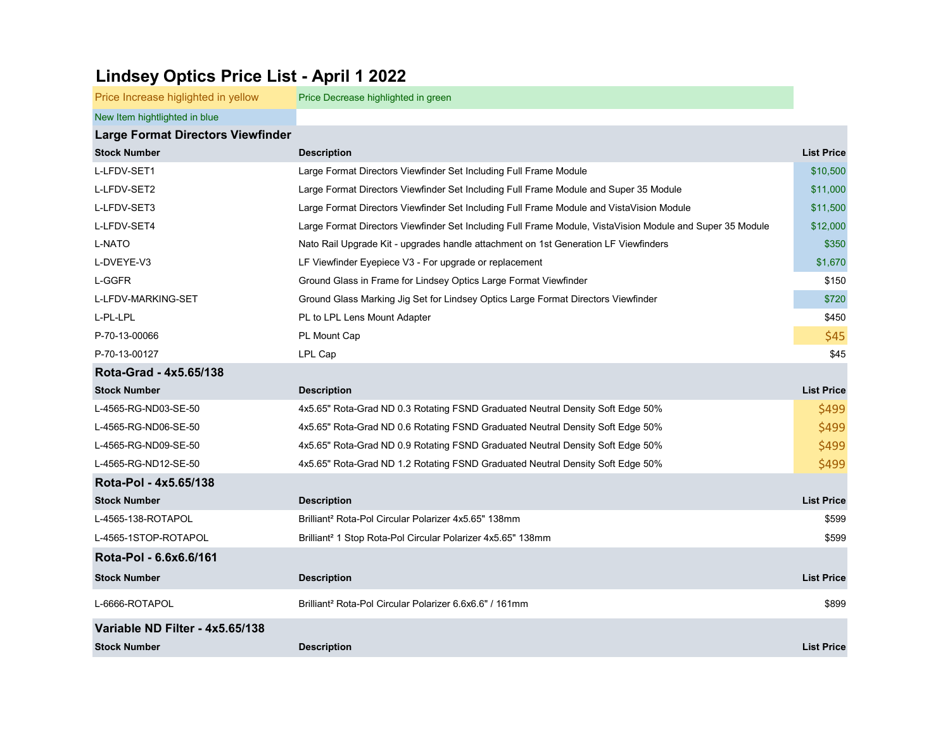## Lindsey Optics Price List - April 1 2022

| Price Increase higlighted in yellow      | Price Decrease highlighted in green                                                                       |                   |
|------------------------------------------|-----------------------------------------------------------------------------------------------------------|-------------------|
| New Item hightlighted in blue            |                                                                                                           |                   |
| <b>Large Format Directors Viewfinder</b> |                                                                                                           |                   |
| <b>Stock Number</b>                      | <b>Description</b>                                                                                        | <b>List Price</b> |
| L-LFDV-SET1                              | Large Format Directors Viewfinder Set Including Full Frame Module                                         | \$10,500          |
| L-LFDV-SET2                              | Large Format Directors Viewfinder Set Including Full Frame Module and Super 35 Module                     | \$11,000          |
| L-LFDV-SET3                              | Large Format Directors Viewfinder Set Including Full Frame Module and VistaVision Module                  | \$11,500          |
| L-LFDV-SET4                              | Large Format Directors Viewfinder Set Including Full Frame Module, VistaVision Module and Super 35 Module | \$12,000          |
| <b>L-NATO</b>                            | Nato Rail Upgrade Kit - upgrades handle attachment on 1st Generation LF Viewfinders                       | \$350             |
| L-DVEYE-V3                               | LF Viewfinder Eyepiece V3 - For upgrade or replacement                                                    | \$1,670           |
| L-GGFR                                   | Ground Glass in Frame for Lindsey Optics Large Format Viewfinder                                          | \$150             |
| L-LFDV-MARKING-SET                       | Ground Glass Marking Jig Set for Lindsey Optics Large Format Directors Viewfinder                         | \$720             |
| L-PL-LPL                                 | PL to LPL Lens Mount Adapter                                                                              | \$450             |
| P-70-13-00066                            | PL Mount Cap                                                                                              | \$45              |
| P-70-13-00127                            | LPL Cap                                                                                                   | \$45              |
| Rota-Grad - 4x5.65/138                   |                                                                                                           |                   |
| <b>Stock Number</b>                      | <b>Description</b>                                                                                        | <b>List Price</b> |
| L-4565-RG-ND03-SE-50                     | 4x5.65" Rota-Grad ND 0.3 Rotating FSND Graduated Neutral Density Soft Edge 50%                            | \$499             |
| L-4565-RG-ND06-SE-50                     | 4x5.65" Rota-Grad ND 0.6 Rotating FSND Graduated Neutral Density Soft Edge 50%                            | \$499             |
| L-4565-RG-ND09-SE-50                     | 4x5.65" Rota-Grad ND 0.9 Rotating FSND Graduated Neutral Density Soft Edge 50%                            | \$499             |
| L-4565-RG-ND12-SE-50                     | 4x5.65" Rota-Grad ND 1.2 Rotating FSND Graduated Neutral Density Soft Edge 50%                            | \$499             |
| Rota-Pol - 4x5.65/138                    |                                                                                                           |                   |
| <b>Stock Number</b>                      | <b>Description</b>                                                                                        | <b>List Price</b> |
| L-4565-138-ROTAPOL                       | Brilliant <sup>2</sup> Rota-Pol Circular Polarizer 4x5.65" 138mm                                          | \$599             |
| L-4565-1STOP-ROTAPOL                     | Brilliant <sup>2</sup> 1 Stop Rota-Pol Circular Polarizer 4x5.65" 138mm                                   | \$599             |
| Rota-Pol - 6.6x6.6/161                   |                                                                                                           |                   |
| <b>Stock Number</b>                      | <b>Description</b>                                                                                        | <b>List Price</b> |
| L-6666-ROTAPOL                           | Brilliant <sup>2</sup> Rota-Pol Circular Polarizer 6.6x6.6" / 161mm                                       | \$899             |
| Variable ND Filter - 4x5.65/138          |                                                                                                           |                   |
| <b>Stock Number</b>                      | <b>Description</b>                                                                                        | <b>List Price</b> |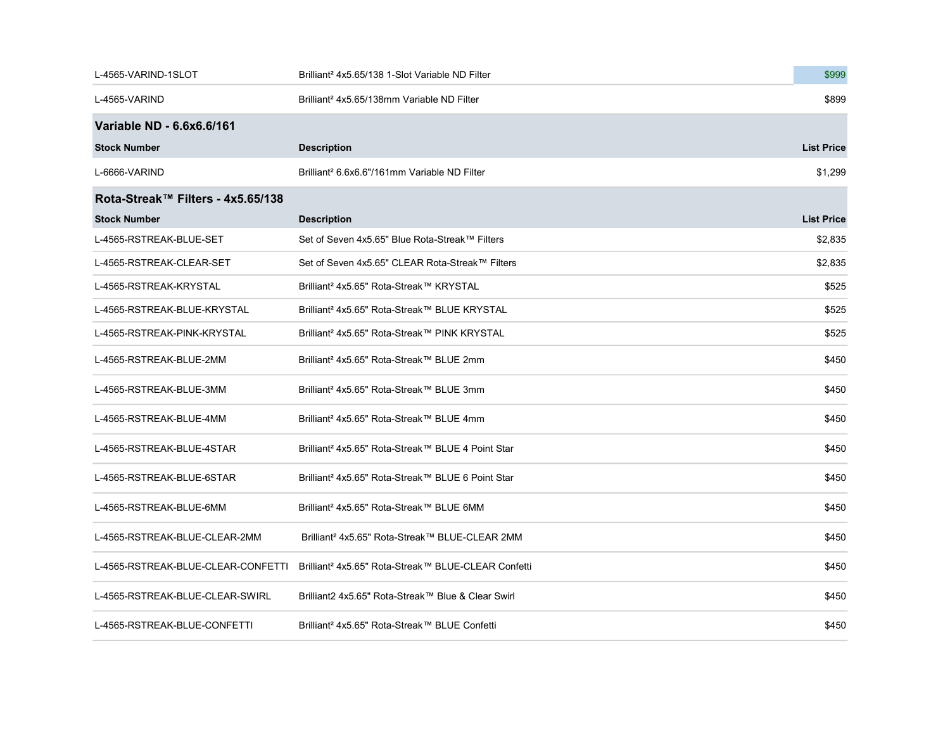| L-4565-VARIND-1SLOT                | Brilliant <sup>2</sup> 4x5.65/138 1-Slot Variable ND Filter     | \$999             |
|------------------------------------|-----------------------------------------------------------------|-------------------|
| L-4565-VARIND                      | Brilliant <sup>2</sup> 4x5.65/138mm Variable ND Filter          | \$899             |
| Variable ND - 6.6x6.6/161          |                                                                 |                   |
| <b>Stock Number</b>                | <b>Description</b>                                              | <b>List Price</b> |
| L-6666-VARIND                      | Brilliant <sup>2</sup> 6.6x6.6"/161mm Variable ND Filter        | \$1,299           |
| Rota-Streak™ Filters - 4x5.65/138  |                                                                 |                   |
| <b>Stock Number</b>                | <b>Description</b>                                              | <b>List Price</b> |
| L-4565-RSTREAK-BLUE-SET            | Set of Seven 4x5.65" Blue Rota-Streak™ Filters                  | \$2,835           |
| L-4565-RSTREAK-CLEAR-SET           | Set of Seven 4x5.65" CLEAR Rota-Streak™ Filters                 | \$2,835           |
| L-4565-RSTREAK-KRYSTAL             | Brilliant <sup>2</sup> 4x5.65" Rota-Streak™ KRYSTAL             | \$525             |
| L-4565-RSTREAK-BLUE-KRYSTAL        | Brilliant <sup>2</sup> 4x5.65" Rota-Streak™ BLUE KRYSTAL        | \$525             |
| L-4565-RSTREAK-PINK-KRYSTAL        | Brilliant <sup>2</sup> 4x5.65" Rota-Streak™ PINK KRYSTAL        | \$525             |
| L-4565-RSTREAK-BLUE-2MM            | Brilliant <sup>2</sup> 4x5.65" Rota-Streak™ BLUE 2mm            | \$450             |
| L-4565-RSTREAK-BLUE-3MM            | Brilliant <sup>2</sup> 4x5.65" Rota-Streak™ BLUE 3mm            | \$450             |
| L-4565-RSTREAK-BLUE-4MM            | Brilliant <sup>2</sup> 4x5.65" Rota-Streak™ BLUE 4mm            | \$450             |
| L-4565-RSTREAK-BLUE-4STAR          | Brilliant <sup>2</sup> 4x5.65" Rota-Streak™ BLUE 4 Point Star   | \$450             |
| L-4565-RSTREAK-BLUE-6STAR          | Brilliant <sup>2</sup> 4x5.65" Rota-Streak™ BLUE 6 Point Star   | \$450             |
| L-4565-RSTREAK-BLUE-6MM            | Brilliant <sup>2</sup> 4x5.65" Rota-Streak™ BLUE 6MM            | \$450             |
| L-4565-RSTREAK-BLUE-CLEAR-2MM      | Brilliant <sup>2</sup> 4x5.65" Rota-Streak™ BLUE-CLEAR 2MM      | \$450             |
| L-4565-RSTREAK-BLUE-CLEAR-CONFETTI | Brilliant <sup>2</sup> 4x5.65" Rota-Streak™ BLUE-CLEAR Confetti | \$450             |
| L-4565-RSTREAK-BLUE-CLEAR-SWIRL    | Brilliant2 4x5.65" Rota-Streak™ Blue & Clear Swirl              | \$450             |
| L-4565-RSTREAK-BLUE-CONFETTI       | Brilliant <sup>2</sup> 4x5.65" Rota-Streak™ BLUE Confetti       | \$450             |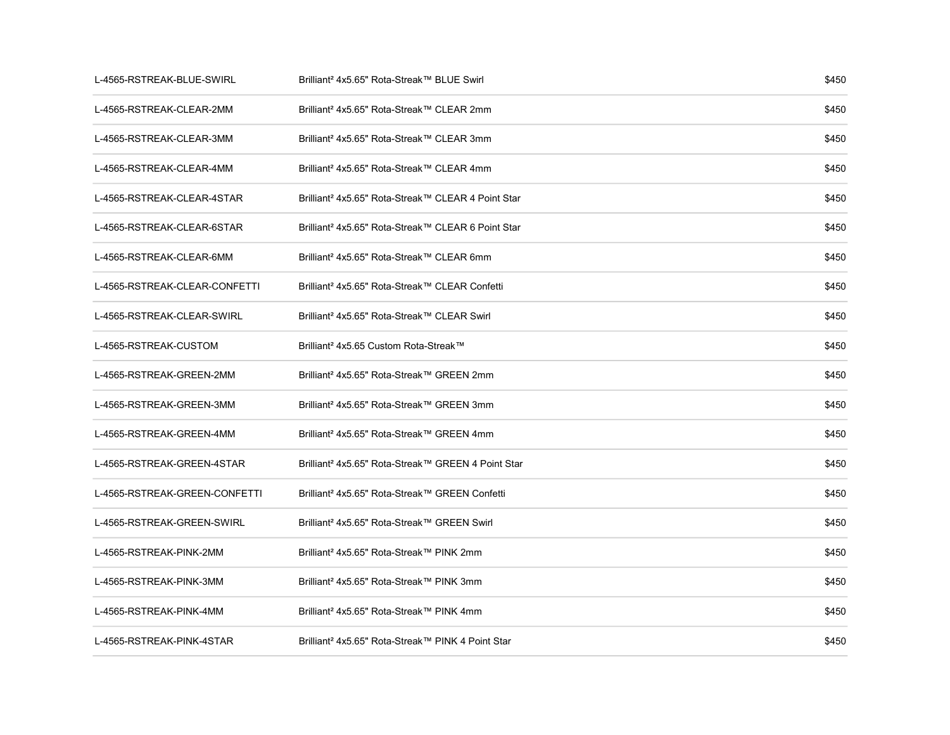| L-4565-RSTREAK-BLUE-SWIRL     | Brilliant <sup>2</sup> 4x5.65" Rota-Streak™ BLUE Swirl         | \$450 |
|-------------------------------|----------------------------------------------------------------|-------|
| L-4565-RSTREAK-CLEAR-2MM      | Brilliant <sup>2</sup> 4x5.65" Rota-Streak™ CLEAR 2mm          | \$450 |
| L-4565-RSTREAK-CLEAR-3MM      | Brilliant <sup>2</sup> 4x5.65" Rota-Streak™ CLEAR 3mm          | \$450 |
| L-4565-RSTREAK-CLEAR-4MM      | Brilliant <sup>2</sup> 4x5.65" Rota-Streak™ CLEAR 4mm          | \$450 |
| L-4565-RSTREAK-CLEAR-4STAR    | Brilliant <sup>2</sup> 4x5.65" Rota-Streak™ CLEAR 4 Point Star | \$450 |
| L-4565-RSTREAK-CLEAR-6STAR    | Brilliant <sup>2</sup> 4x5.65" Rota-Streak™ CLEAR 6 Point Star | \$450 |
| L-4565-RSTREAK-CLEAR-6MM      | Brilliant <sup>2</sup> 4x5.65" Rota-Streak™ CLEAR 6mm          | \$450 |
| L-4565-RSTREAK-CLEAR-CONFETTI | Brilliant <sup>2</sup> 4x5.65" Rota-Streak™ CLEAR Confetti     | \$450 |
| L-4565-RSTREAK-CLEAR-SWIRL    | Brilliant <sup>2</sup> 4x5.65" Rota-Streak™ CLEAR Swirl        | \$450 |
| L-4565-RSTREAK-CUSTOM         | Brilliant <sup>2</sup> 4x5.65 Custom Rota-Streak™              | \$450 |
| L-4565-RSTREAK-GREEN-2MM      | Brilliant <sup>2</sup> 4x5.65" Rota-Streak™ GREEN 2mm          | \$450 |
| L-4565-RSTREAK-GREEN-3MM      | Brilliant <sup>2</sup> 4x5.65" Rota-Streak™ GREEN 3mm          | \$450 |
| L-4565-RSTREAK-GREEN-4MM      | Brilliant <sup>2</sup> 4x5.65" Rota-Streak™ GREEN 4mm          | \$450 |
| L-4565-RSTREAK-GREEN-4STAR    | Brilliant <sup>2</sup> 4x5.65" Rota-Streak™ GREEN 4 Point Star | \$450 |
| L-4565-RSTREAK-GREEN-CONFETTI | Brilliant <sup>2</sup> 4x5.65" Rota-Streak™ GREEN Confetti     | \$450 |
| L-4565-RSTREAK-GREEN-SWIRL    | Brilliant <sup>2</sup> 4x5.65" Rota-Streak™ GREEN Swirl        | \$450 |
| L-4565-RSTREAK-PINK-2MM       | Brilliant <sup>2</sup> 4x5.65" Rota-Streak™ PINK 2mm           | \$450 |
| L-4565-RSTREAK-PINK-3MM       | Brilliant <sup>2</sup> 4x5.65" Rota-Streak™ PINK 3mm           | \$450 |
| L-4565-RSTREAK-PINK-4MM       | Brilliant <sup>2</sup> 4x5.65" Rota-Streak™ PINK 4mm           | \$450 |
| L-4565-RSTREAK-PINK-4STAR     | Brilliant <sup>2</sup> 4x5.65" Rota-Streak™ PINK 4 Point Star  | \$450 |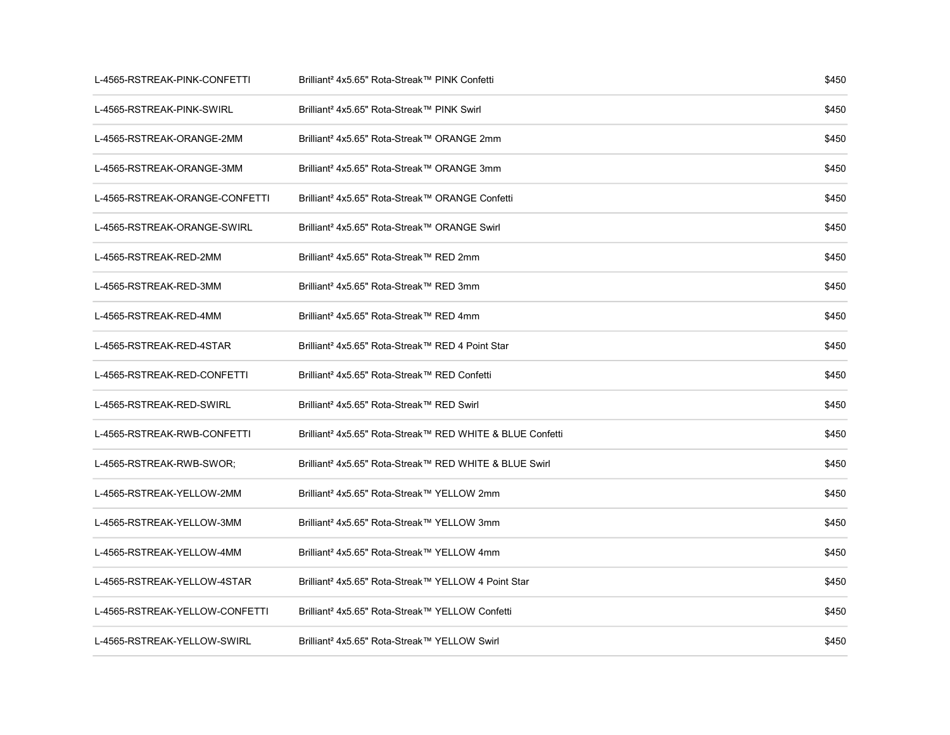| L-4565-RSTREAK-PINK-CONFETTI   | Brilliant <sup>2</sup> 4x5.65" Rota-Streak™ PINK Confetti             | \$450 |
|--------------------------------|-----------------------------------------------------------------------|-------|
| L-4565-RSTREAK-PINK-SWIRL      | Brilliant <sup>2</sup> 4x5.65" Rota-Streak™ PINK Swirl                | \$450 |
| L-4565-RSTREAK-ORANGE-2MM      | Brilliant <sup>2</sup> 4x5.65" Rota-Streak™ ORANGE 2mm                | \$450 |
| L-4565-RSTREAK-ORANGE-3MM      | Brilliant <sup>2</sup> 4x5.65" Rota-Streak™ ORANGE 3mm                | \$450 |
| L-4565-RSTREAK-ORANGE-CONFETTI | Brilliant <sup>2</sup> 4x5.65" Rota-Streak™ ORANGE Confetti           | \$450 |
| L-4565-RSTREAK-ORANGE-SWIRL    | Brilliant <sup>2</sup> 4x5.65" Rota-Streak™ ORANGE Swirl              | \$450 |
| L-4565-RSTREAK-RED-2MM         | Brilliant <sup>2</sup> 4x5.65" Rota-Streak™ RED 2mm                   | \$450 |
| L-4565-RSTREAK-RED-3MM         | Brilliant <sup>2</sup> 4x5.65" Rota-Streak™ RED 3mm                   | \$450 |
| L-4565-RSTREAK-RED-4MM         | Brilliant <sup>2</sup> 4x5.65" Rota-Streak™ RED 4mm                   | \$450 |
| L-4565-RSTREAK-RED-4STAR       | Brilliant <sup>2</sup> 4x5.65" Rota-Streak™ RED 4 Point Star          | \$450 |
| L-4565-RSTREAK-RED-CONFETTI    | Brilliant <sup>2</sup> 4x5.65" Rota-Streak™ RED Confetti              | \$450 |
| L-4565-RSTREAK-RED-SWIRL       | Brilliant <sup>2</sup> 4x5.65" Rota-Streak™ RED Swirl                 | \$450 |
| L-4565-RSTREAK-RWB-CONFETTI    | Brilliant <sup>2</sup> 4x5.65" Rota-Streak™ RED WHITE & BLUE Confetti | \$450 |
| L-4565-RSTREAK-RWB-SWOR;       | Brilliant <sup>2</sup> 4x5.65" Rota-Streak™ RED WHITE & BLUE Swirl    | \$450 |
| L-4565-RSTREAK-YELLOW-2MM      | Brilliant <sup>2</sup> 4x5.65" Rota-Streak™ YELLOW 2mm                | \$450 |
| L-4565-RSTREAK-YELLOW-3MM      | Brilliant <sup>2</sup> 4x5.65" Rota-Streak™ YELLOW 3mm                | \$450 |
| L-4565-RSTREAK-YELLOW-4MM      | Brilliant <sup>2</sup> 4x5.65" Rota-Streak™ YELLOW 4mm                | \$450 |
| L-4565-RSTREAK-YELLOW-4STAR    | Brilliant <sup>2</sup> 4x5.65" Rota-Streak™ YELLOW 4 Point Star       | \$450 |
| L-4565-RSTREAK-YELLOW-CONFETTI | Brilliant <sup>2</sup> 4x5.65" Rota-Streak™ YELLOW Confetti           | \$450 |
| L-4565-RSTREAK-YELLOW-SWIRL    | Brilliant <sup>2</sup> 4x5.65" Rota-Streak™ YELLOW Swirl              | \$450 |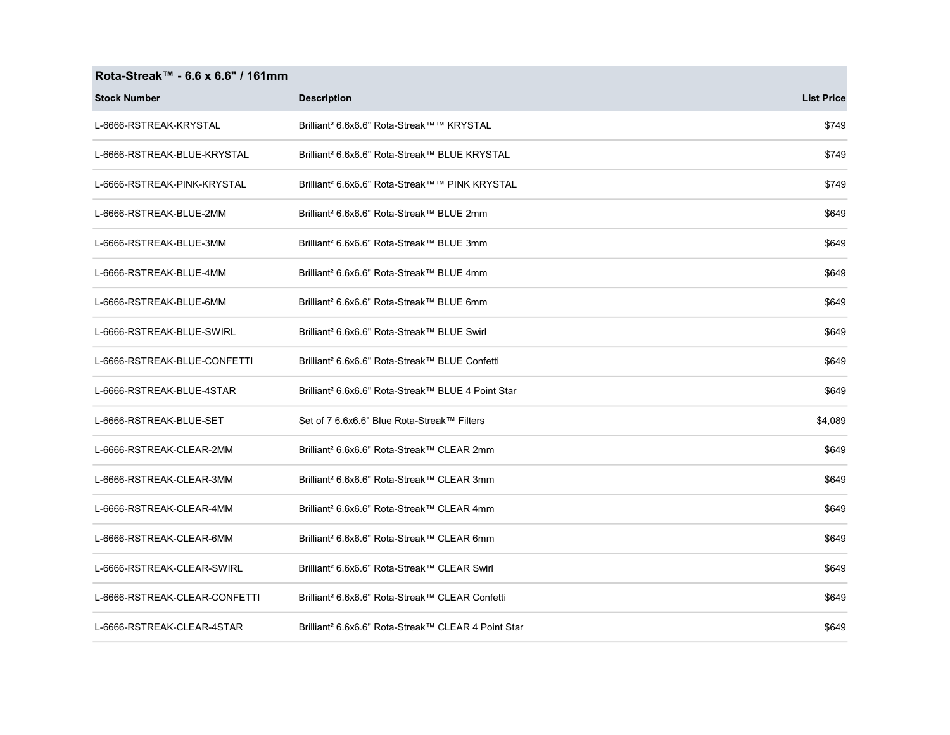## Rota-Streak™ - 6.6 x 6.6" / 161mm

| <b>Stock Number</b>           | <b>Description</b>                                              | <b>List Price</b> |
|-------------------------------|-----------------------------------------------------------------|-------------------|
| L-6666-RSTREAK-KRYSTAL        | Brilliant <sup>2</sup> 6.6x6.6" Rota-Streak™™ KRYSTAL           | \$749             |
| L-6666-RSTREAK-BLUE-KRYSTAL   | Brilliant <sup>2</sup> 6.6x6.6" Rota-Streak™ BLUE KRYSTAL       | \$749             |
| L-6666-RSTREAK-PINK-KRYSTAL   | Brilliant <sup>2</sup> 6.6x6.6" Rota-Streak™™ PINK KRYSTAL      | \$749             |
| L-6666-RSTREAK-BLUE-2MM       | Brilliant <sup>2</sup> 6.6x6.6" Rota-Streak™ BLUE 2mm           | \$649             |
| L-6666-RSTREAK-BLUE-3MM       | Brilliant <sup>2</sup> 6.6x6.6" Rota-Streak™ BLUE 3mm           | \$649             |
| L-6666-RSTREAK-BLUE-4MM       | Brilliant <sup>2</sup> 6.6x6.6" Rota-Streak™ BLUE 4mm           | \$649             |
| L-6666-RSTREAK-BLUE-6MM       | Brilliant <sup>2</sup> 6.6x6.6" Rota-Streak™ BLUE 6mm           | \$649             |
| L-6666-RSTREAK-BLUE-SWIRL     | Brilliant <sup>2</sup> 6.6x6.6" Rota-Streak™ BLUE Swirl         | \$649             |
| L-6666-RSTREAK-BLUE-CONFETTI  | Brilliant <sup>2</sup> 6.6x6.6" Rota-Streak™ BLUE Confetti      | \$649             |
| L-6666-RSTREAK-BLUE-4STAR     | Brilliant <sup>2</sup> 6.6x6.6" Rota-Streak™ BLUE 4 Point Star  | \$649             |
| L-6666-RSTREAK-BLUE-SET       | Set of 7 6.6x6.6" Blue Rota-Streak™ Filters                     | \$4,089           |
| L-6666-RSTREAK-CLEAR-2MM      | Brilliant <sup>2</sup> 6.6x6.6" Rota-Streak™ CLEAR 2mm          | \$649             |
| L-6666-RSTREAK-CLEAR-3MM      | Brilliant <sup>2</sup> 6.6x6.6" Rota-Streak™ CLEAR 3mm          | \$649             |
| L-6666-RSTREAK-CLEAR-4MM      | Brilliant <sup>2</sup> 6.6x6.6" Rota-Streak™ CLEAR 4mm          | \$649             |
| L-6666-RSTREAK-CLEAR-6MM      | Brilliant <sup>2</sup> 6.6x6.6" Rota-Streak™ CLEAR 6mm          | \$649             |
| L-6666-RSTREAK-CLEAR-SWIRL    | Brilliant <sup>2</sup> 6.6x6.6" Rota-Streak™ CLEAR Swirl        | \$649             |
| L-6666-RSTREAK-CLEAR-CONFETTI | Brilliant <sup>2</sup> 6.6x6.6" Rota-Streak™ CLEAR Confetti     | \$649             |
| L-6666-RSTREAK-CLEAR-4STAR    | Brilliant <sup>2</sup> 6.6x6.6" Rota-Streak™ CLEAR 4 Point Star | \$649             |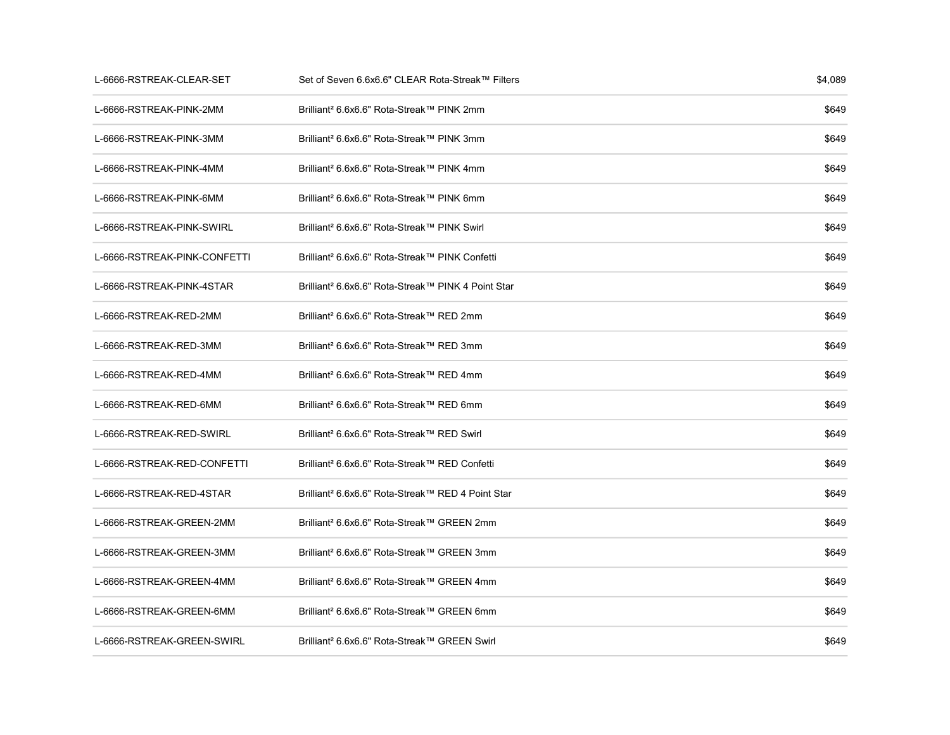| L-6666-RSTREAK-CLEAR-SET     | Set of Seven 6.6x6.6" CLEAR Rota-Streak™ Filters               | \$4,089 |
|------------------------------|----------------------------------------------------------------|---------|
| L-6666-RSTREAK-PINK-2MM      | Brilliant <sup>2</sup> 6.6x6.6" Rota-Streak™ PINK 2mm          | \$649   |
| L-6666-RSTREAK-PINK-3MM      | Brilliant <sup>2</sup> 6.6x6.6" Rota-Streak™ PINK 3mm          | \$649   |
| L-6666-RSTREAK-PINK-4MM      | Brilliant <sup>2</sup> 6.6x6.6" Rota-Streak™ PINK 4mm          | \$649   |
| L-6666-RSTREAK-PINK-6MM      | Brilliant <sup>2</sup> 6.6x6.6" Rota-Streak™ PINK 6mm          | \$649   |
| L-6666-RSTREAK-PINK-SWIRL    | Brilliant <sup>2</sup> 6.6x6.6" Rota-Streak™ PINK Swirl        | \$649   |
| L-6666-RSTREAK-PINK-CONFETTI | Brilliant <sup>2</sup> 6.6x6.6" Rota-Streak™ PINK Confetti     | \$649   |
| L-6666-RSTREAK-PINK-4STAR    | Brilliant <sup>2</sup> 6.6x6.6" Rota-Streak™ PINK 4 Point Star | \$649   |
| L-6666-RSTREAK-RED-2MM       | Brilliant <sup>2</sup> 6.6x6.6" Rota-Streak™ RED 2mm           | \$649   |
| L-6666-RSTREAK-RED-3MM       | Brilliant <sup>2</sup> 6.6x6.6" Rota-Streak™ RED 3mm           | \$649   |
| L-6666-RSTREAK-RED-4MM       | Brilliant <sup>2</sup> 6.6x6.6" Rota-Streak™ RED 4mm           | \$649   |
| L-6666-RSTREAK-RED-6MM       | Brilliant <sup>2</sup> 6.6x6.6" Rota-Streak™ RED 6mm           | \$649   |
| L-6666-RSTREAK-RED-SWIRL     | Brilliant <sup>2</sup> 6.6x6.6" Rota-Streak™ RED Swirl         | \$649   |
| L-6666-RSTREAK-RED-CONFETTI  | Brilliant <sup>2</sup> 6.6x6.6" Rota-Streak™ RED Confetti      | \$649   |
| L-6666-RSTREAK-RED-4STAR     | Brilliant <sup>2</sup> 6.6x6.6" Rota-Streak™ RED 4 Point Star  | \$649   |
| L-6666-RSTREAK-GREEN-2MM     | Brilliant <sup>2</sup> 6.6x6.6" Rota-Streak™ GREEN 2mm         | \$649   |
| L-6666-RSTREAK-GREEN-3MM     | Brilliant <sup>2</sup> 6.6x6.6" Rota-Streak™ GREEN 3mm         | \$649   |
| L-6666-RSTREAK-GREEN-4MM     | Brilliant <sup>2</sup> 6.6x6.6" Rota-Streak™ GREEN 4mm         | \$649   |
| L-6666-RSTREAK-GREEN-6MM     | Brilliant <sup>2</sup> 6.6x6.6" Rota-Streak™ GREEN 6mm         | \$649   |
| L-6666-RSTREAK-GREEN-SWIRL   | Brilliant <sup>2</sup> 6.6x6.6" Rota-Streak™ GREEN Swirl       | \$649   |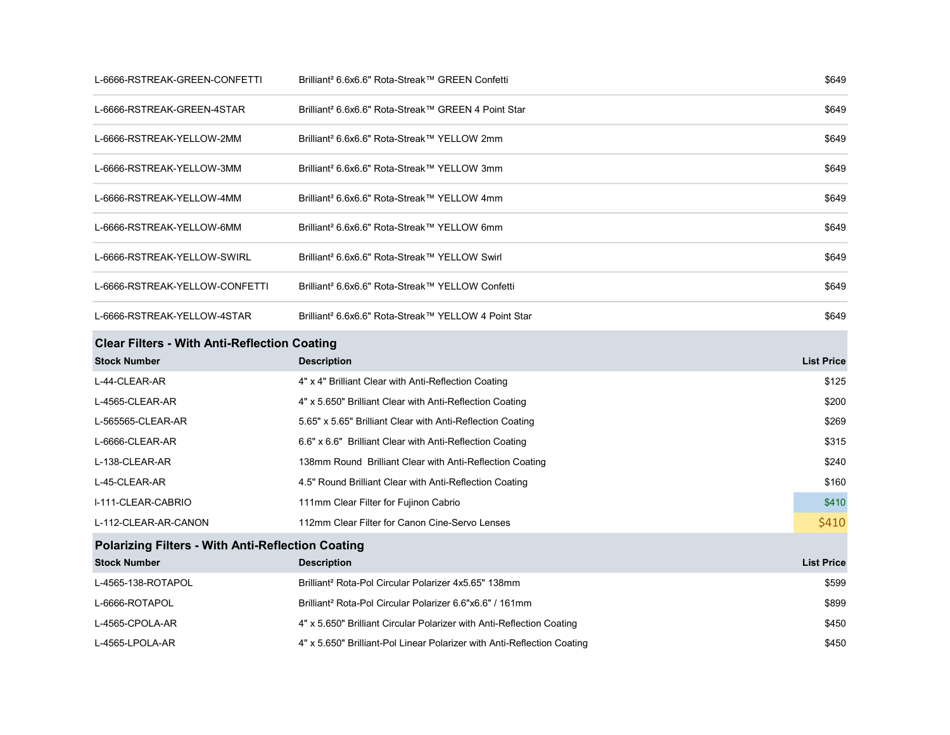| L-6666-RSTREAK-GREEN-CONFETTI                            | Brilliant <sup>2</sup> 6.6x6.6" Rota-Streak™ GREEN Confetti             | \$649             |
|----------------------------------------------------------|-------------------------------------------------------------------------|-------------------|
| L-6666-RSTREAK-GREEN-4STAR                               | Brilliant <sup>2</sup> 6.6x6.6" Rota-Streak™ GREEN 4 Point Star         | \$649             |
| L-6666-RSTREAK-YELLOW-2MM                                | Brilliant <sup>2</sup> 6.6x6.6" Rota-Streak™ YELLOW 2mm                 | \$649             |
| L-6666-RSTREAK-YELLOW-3MM                                | Brilliant <sup>2</sup> 6.6x6.6" Rota-Streak™ YELLOW 3mm                 | \$649             |
| L-6666-RSTREAK-YELLOW-4MM                                | Brilliant <sup>2</sup> 6.6x6.6" Rota-Streak™ YELLOW 4mm                 | \$649             |
| L-6666-RSTREAK-YELLOW-6MM                                | Brilliant <sup>2</sup> 6.6x6.6" Rota-Streak™ YELLOW 6mm                 | \$649             |
| L-6666-RSTREAK-YELLOW-SWIRL                              | Brilliant <sup>2</sup> 6.6x6.6" Rota-Streak™ YELLOW Swirl               | \$649             |
| L-6666-RSTREAK-YELLOW-CONFETTI                           | Brilliant <sup>2</sup> 6.6x6.6" Rota-Streak™ YELLOW Confetti            | \$649             |
| L-6666-RSTREAK-YELLOW-4STAR                              | Brilliant <sup>2</sup> 6.6x6.6" Rota-Streak™ YELLOW 4 Point Star        | \$649             |
| <b>Clear Filters - With Anti-Reflection Coating</b>      |                                                                         |                   |
| <b>Stock Number</b>                                      | <b>Description</b>                                                      | <b>List Price</b> |
| L-44-CLEAR-AR                                            | 4" x 4" Brilliant Clear with Anti-Reflection Coating                    | \$125             |
| L-4565-CLEAR-AR                                          | 4" x 5.650" Brilliant Clear with Anti-Reflection Coating                | \$200             |
| L-565565-CLEAR-AR                                        | 5.65" x 5.65" Brilliant Clear with Anti-Reflection Coating              | \$269             |
| L-6666-CLEAR-AR                                          | 6.6" x 6.6" Brilliant Clear with Anti-Reflection Coating                | \$315             |
| L-138-CLEAR-AR                                           | 138mm Round Brilliant Clear with Anti-Reflection Coating                | \$240             |
| L-45-CLEAR-AR                                            | 4.5" Round Brilliant Clear with Anti-Reflection Coating                 | \$160             |
| I-111-CLEAR-CABRIO                                       | 111mm Clear Filter for Fujinon Cabrio                                   | \$410             |
| L-112-CLEAR-AR-CANON                                     | 112mm Clear Filter for Canon Cine-Servo Lenses                          | \$410             |
| <b>Polarizing Filters - With Anti-Reflection Coating</b> |                                                                         |                   |
| <b>Stock Number</b>                                      | <b>Description</b>                                                      | <b>List Price</b> |
| L-4565-138-ROTAPOL                                       | Brilliant <sup>2</sup> Rota-Pol Circular Polarizer 4x5.65" 138mm        | \$599             |
| L-6666-ROTAPOL                                           | Brilliant <sup>2</sup> Rota-Pol Circular Polarizer 6.6"x6.6" / 161mm    | \$899             |
| L-4565-CPOLA-AR                                          | 4" x 5.650" Brilliant Circular Polarizer with Anti-Reflection Coating   | \$450             |
| L-4565-LPOLA-AR                                          | 4" x 5.650" Brilliant-Pol Linear Polarizer with Anti-Reflection Coating | \$450             |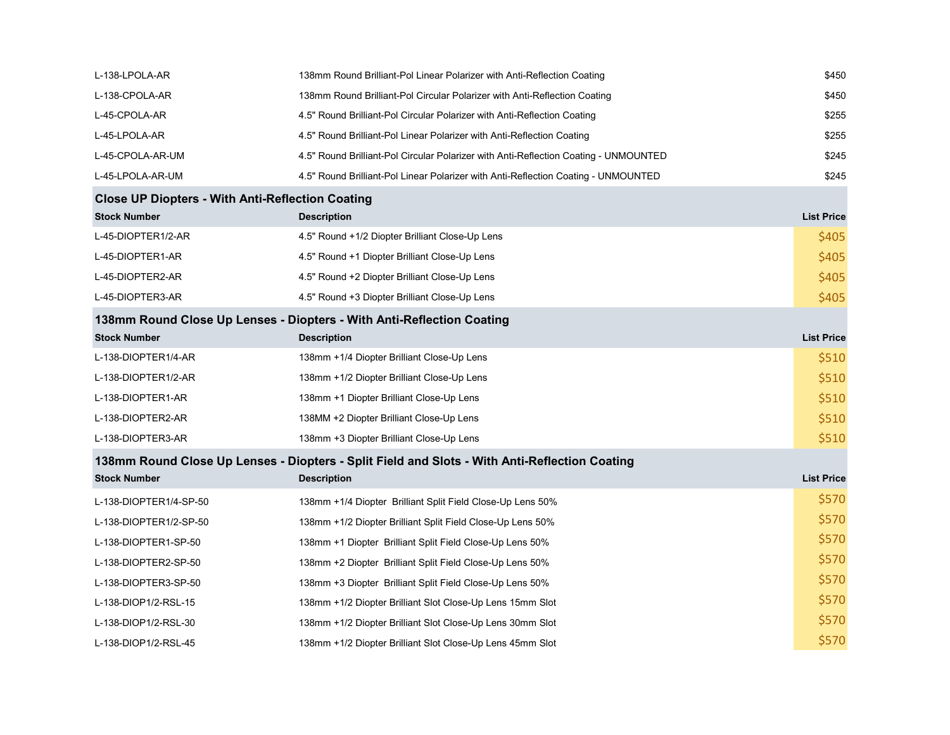| L-138-LPOLA-AR                                          | 138mm Round Brilliant-Pol Linear Polarizer with Anti-Reflection Coating                       | \$450             |
|---------------------------------------------------------|-----------------------------------------------------------------------------------------------|-------------------|
| L-138-CPOLA-AR                                          | 138mm Round Brilliant-Pol Circular Polarizer with Anti-Reflection Coating                     | \$450             |
| L-45-CPOLA-AR                                           | 4.5" Round Brilliant-Pol Circular Polarizer with Anti-Reflection Coating                      | \$255             |
| L-45-LPOLA-AR                                           | 4.5" Round Brilliant-Pol Linear Polarizer with Anti-Reflection Coating                        | \$255             |
| L-45-CPOLA-AR-UM                                        | 4.5" Round Brilliant-Pol Circular Polarizer with Anti-Reflection Coating - UNMOUNTED          | \$245             |
| L-45-LPOLA-AR-UM                                        | 4.5" Round Brilliant-Pol Linear Polarizer with Anti-Reflection Coating - UNMOUNTED            | \$245             |
| <b>Close UP Diopters - With Anti-Reflection Coating</b> |                                                                                               |                   |
| <b>Stock Number</b>                                     | <b>Description</b>                                                                            | <b>List Price</b> |
| L-45-DIOPTER1/2-AR                                      | 4.5" Round +1/2 Diopter Brilliant Close-Up Lens                                               | \$405             |
| L-45-DIOPTER1-AR                                        | 4.5" Round +1 Diopter Brilliant Close-Up Lens                                                 | \$405             |
| L-45-DIOPTER2-AR                                        | 4.5" Round +2 Diopter Brilliant Close-Up Lens                                                 | \$405             |
| L-45-DIOPTER3-AR                                        | 4.5" Round +3 Diopter Brilliant Close-Up Lens                                                 | \$405             |
|                                                         | 138mm Round Close Up Lenses - Diopters - With Anti-Reflection Coating                         |                   |
| <b>Stock Number</b>                                     | <b>Description</b>                                                                            | <b>List Price</b> |
| L-138-DIOPTER1/4-AR                                     | 138mm +1/4 Diopter Brilliant Close-Up Lens                                                    | \$510             |
| L-138-DIOPTER1/2-AR                                     | 138mm +1/2 Diopter Brilliant Close-Up Lens                                                    | \$510             |
| L-138-DIOPTER1-AR                                       | 138mm +1 Diopter Brilliant Close-Up Lens                                                      | \$510             |
| L-138-DIOPTER2-AR                                       | 138MM +2 Diopter Brilliant Close-Up Lens                                                      | \$510             |
| L-138-DIOPTER3-AR                                       | 138mm +3 Diopter Brilliant Close-Up Lens                                                      | \$510             |
|                                                         | 138mm Round Close Up Lenses - Diopters - Split Field and Slots - With Anti-Reflection Coating |                   |
| <b>Stock Number</b>                                     | <b>Description</b>                                                                            | <b>List Price</b> |
| L-138-DIOPTER1/4-SP-50                                  | 138mm +1/4 Diopter Brilliant Split Field Close-Up Lens 50%                                    | \$570             |
| L-138-DIOPTER1/2-SP-50                                  | 138mm +1/2 Diopter Brilliant Split Field Close-Up Lens 50%                                    | \$570             |
| L-138-DIOPTER1-SP-50                                    | 138mm +1 Diopter Brilliant Split Field Close-Up Lens 50%                                      | \$570             |
| L-138-DIOPTER2-SP-50                                    | 138mm +2 Diopter Brilliant Split Field Close-Up Lens 50%                                      | \$570             |
| L-138-DIOPTER3-SP-50                                    | 138mm +3 Diopter Brilliant Split Field Close-Up Lens 50%                                      | \$570             |
| L-138-DIOP1/2-RSL-15                                    | 138mm +1/2 Diopter Brilliant Slot Close-Up Lens 15mm Slot                                     | \$570             |
| L-138-DIOP1/2-RSL-30                                    | 138mm +1/2 Diopter Brilliant Slot Close-Up Lens 30mm Slot                                     | \$570             |
| L-138-DIOP1/2-RSL-45                                    | 138mm +1/2 Diopter Brilliant Slot Close-Up Lens 45mm Slot                                     | \$570             |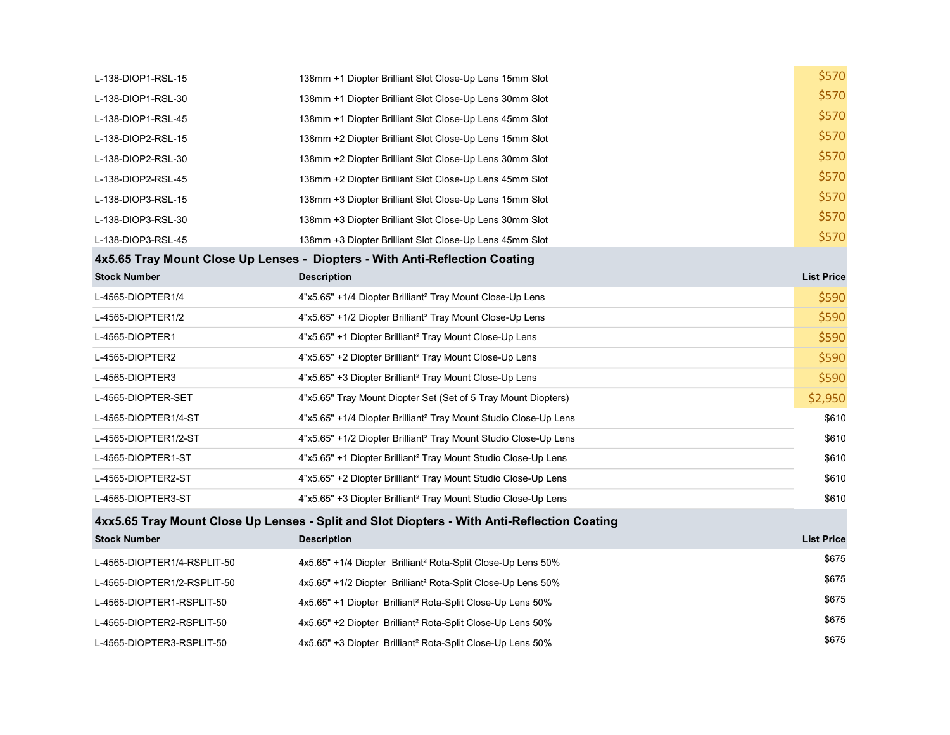| L-138-DIOP1-RSL-15          | 138mm +1 Diopter Brilliant Slot Close-Up Lens 15mm Slot                                     | \$570             |
|-----------------------------|---------------------------------------------------------------------------------------------|-------------------|
| L-138-DIOP1-RSL-30          | 138mm +1 Diopter Brilliant Slot Close-Up Lens 30mm Slot                                     | \$570             |
| L-138-DIOP1-RSL-45          | 138mm +1 Diopter Brilliant Slot Close-Up Lens 45mm Slot                                     | \$570             |
| L-138-DIOP2-RSL-15          | 138mm +2 Diopter Brilliant Slot Close-Up Lens 15mm Slot                                     | \$570             |
| L-138-DIOP2-RSL-30          | 138mm +2 Diopter Brilliant Slot Close-Up Lens 30mm Slot                                     | \$570             |
| L-138-DIOP2-RSL-45          | 138mm +2 Diopter Brilliant Slot Close-Up Lens 45mm Slot                                     | \$570             |
| L-138-DIOP3-RSL-15          | 138mm +3 Diopter Brilliant Slot Close-Up Lens 15mm Slot                                     | \$570             |
| L-138-DIOP3-RSL-30          | 138mm +3 Diopter Brilliant Slot Close-Up Lens 30mm Slot                                     | \$570             |
| L-138-DIOP3-RSL-45          | 138mm +3 Diopter Brilliant Slot Close-Up Lens 45mm Slot                                     | \$570             |
|                             | 4x5.65 Tray Mount Close Up Lenses - Diopters - With Anti-Reflection Coating                 |                   |
| <b>Stock Number</b>         | <b>Description</b>                                                                          | <b>List Price</b> |
| L-4565-DIOPTER1/4           | 4"x5.65" +1/4 Diopter Brilliant <sup>2</sup> Tray Mount Close-Up Lens                       | \$590             |
| L-4565-DIOPTER1/2           | 4"x5.65" +1/2 Diopter Brilliant <sup>2</sup> Tray Mount Close-Up Lens                       | \$590             |
| L-4565-DIOPTER1             | 4"x5.65" +1 Diopter Brilliant <sup>2</sup> Tray Mount Close-Up Lens                         | \$590             |
| L-4565-DIOPTER2             | 4"x5.65" +2 Diopter Brilliant <sup>2</sup> Tray Mount Close-Up Lens                         | \$590             |
| L-4565-DIOPTER3             | 4"x5.65" +3 Diopter Brilliant <sup>2</sup> Tray Mount Close-Up Lens                         | \$590             |
| L-4565-DIOPTER-SET          | 4"x5.65" Tray Mount Diopter Set (Set of 5 Tray Mount Diopters)                              | \$2,950           |
| L-4565-DIOPTER1/4-ST        | 4"x5.65" +1/4 Diopter Brilliant <sup>2</sup> Tray Mount Studio Close-Up Lens                | \$610             |
| L-4565-DIOPTER1/2-ST        | 4"x5.65" +1/2 Diopter Brilliant <sup>2</sup> Tray Mount Studio Close-Up Lens                | \$610             |
| L-4565-DIOPTER1-ST          | 4"x5.65" +1 Diopter Brilliant <sup>2</sup> Tray Mount Studio Close-Up Lens                  | \$610             |
| L-4565-DIOPTER2-ST          | 4"x5.65" +2 Diopter Brilliant <sup>2</sup> Tray Mount Studio Close-Up Lens                  | \$610             |
| L-4565-DIOPTER3-ST          | 4"x5.65" +3 Diopter Brilliant <sup>2</sup> Tray Mount Studio Close-Up Lens                  | \$610             |
|                             | 4xx5.65 Tray Mount Close Up Lenses - Split and Slot Diopters - With Anti-Reflection Coating |                   |
| <b>Stock Number</b>         | <b>Description</b>                                                                          | <b>List Price</b> |
| L-4565-DIOPTER1/4-RSPLIT-50 | 4x5.65" +1/4 Diopter Brilliant <sup>2</sup> Rota-Split Close-Up Lens 50%                    | \$675             |
| L-4565-DIOPTER1/2-RSPLIT-50 | 4x5.65" +1/2 Diopter Brilliant <sup>2</sup> Rota-Split Close-Up Lens 50%                    | \$675             |
| L-4565-DIOPTER1-RSPLIT-50   | 4x5.65" +1 Diopter Brilliant <sup>2</sup> Rota-Split Close-Up Lens 50%                      | \$675             |
| L-4565-DIOPTER2-RSPLIT-50   | 4x5.65" +2 Diopter Brilliant <sup>2</sup> Rota-Split Close-Up Lens 50%                      | \$675             |
| L-4565-DIOPTER3-RSPLIT-50   | 4x5.65" +3 Diopter Brilliant <sup>2</sup> Rota-Split Close-Up Lens 50%                      | \$675             |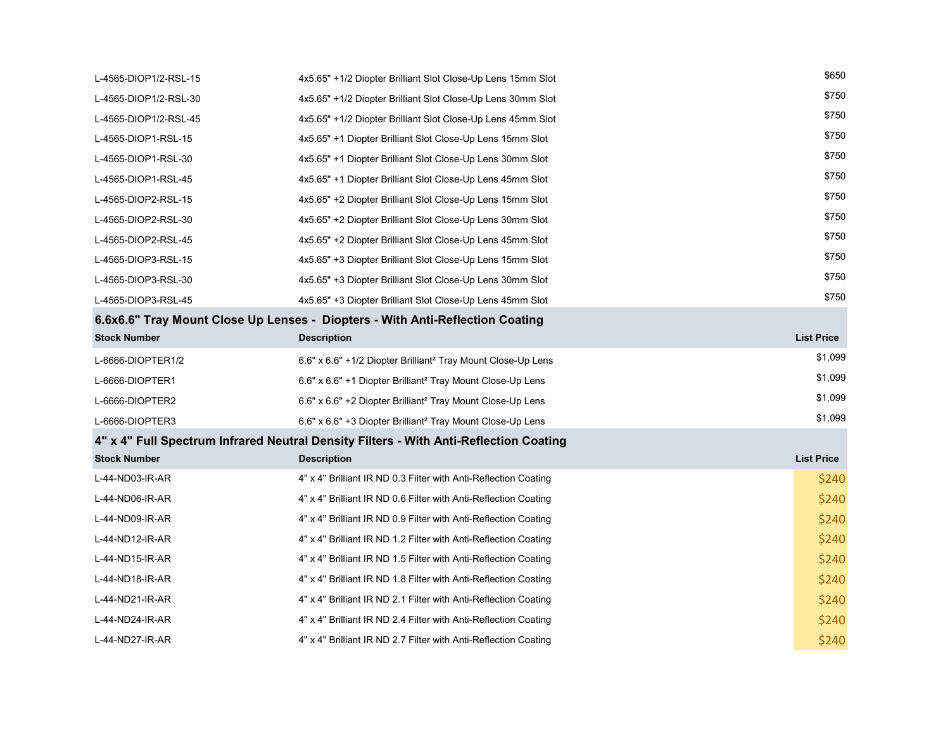| L-4565-DIOP1/2-RSL-15 | 4x5.65" +1/2 Diopter Brilliant Slot Close-Up Lens 15mm Slot                           | \$650             |
|-----------------------|---------------------------------------------------------------------------------------|-------------------|
| L-4565-DIOP1/2-RSL-30 | 4x5.65" +1/2 Diopter Brilliant Slot Close-Up Lens 30mm Slot                           | \$750             |
| L-4565-DIOP1/2-RSL-45 | 4x5.65" +1/2 Diopter Brilliant Slot Close-Up Lens 45mm Slot                           | \$750             |
| L-4565-DIOP1-RSL-15   | 4x5.65" +1 Diopter Brilliant Slot Close-Up Lens 15mm Slot                             | \$750             |
| L-4565-DIOP1-RSL-30   | 4x5.65" +1 Diopter Brilliant Slot Close-Up Lens 30mm Slot                             | \$750             |
| L-4565-DIOP1-RSL-45   | 4x5.65" +1 Diopter Brilliant Slot Close-Up Lens 45mm Slot                             | \$750             |
| L-4565-DIOP2-RSL-15   | 4x5.65" +2 Diopter Brilliant Slot Close-Up Lens 15mm Slot                             | \$750             |
| L-4565-DIOP2-RSL-30   | 4x5.65" +2 Diopter Brilliant Slot Close-Up Lens 30mm Slot                             | \$750             |
| L-4565-DIOP2-RSL-45   | 4x5.65" +2 Diopter Brilliant Slot Close-Up Lens 45mm Slot                             | \$750             |
| L-4565-DIOP3-RSL-15   | 4x5.65" +3 Diopter Brilliant Slot Close-Up Lens 15mm Slot                             | \$750             |
| L-4565-DIOP3-RSL-30   | 4x5.65" +3 Diopter Brilliant Slot Close-Up Lens 30mm Slot                             | \$750             |
| L-4565-DIOP3-RSL-45   | 4x5.65" +3 Diopter Brilliant Slot Close-Up Lens 45mm Slot                             | \$750             |
|                       | 6.6x6.6" Tray Mount Close Up Lenses - Diopters - With Anti-Reflection Coating         |                   |
| <b>Stock Number</b>   | <b>Description</b>                                                                    | <b>List Price</b> |
| L-6666-DIOPTER1/2     | 6.6" x 6.6" +1/2 Diopter Brilliant <sup>2</sup> Tray Mount Close-Up Lens              | \$1,099           |
| L-6666-DIOPTER1       | 6.6" x 6.6" +1 Diopter Brilliant <sup>2</sup> Tray Mount Close-Up Lens                | \$1,099           |
| L-6666-DIOPTER2       | 6.6" x 6.6" +2 Diopter Brilliant <sup>2</sup> Tray Mount Close-Up Lens                | \$1,099           |
| L-6666-DIOPTER3       | 6.6" x 6.6" +3 Diopter Brilliant <sup>2</sup> Tray Mount Close-Up Lens                | \$1,099           |
|                       | 4" x 4" Full Spectrum Infrared Neutral Density Filters - With Anti-Reflection Coating |                   |
| <b>Stock Number</b>   | <b>Description</b>                                                                    | <b>List Price</b> |
| L-44-ND03-IR-AR       | 4" x 4" Brilliant IR ND 0.3 Filter with Anti-Reflection Coating                       | \$240             |
| L-44-ND06-IR-AR       | 4" x 4" Brilliant IR ND 0.6 Filter with Anti-Reflection Coating                       | \$240             |
| L-44-ND09-IR-AR       | 4" x 4" Brilliant IR ND 0.9 Filter with Anti-Reflection Coating                       | \$240             |
| L-44-ND12-IR-AR       | 4" x 4" Brilliant IR ND 1.2 Filter with Anti-Reflection Coating                       | \$240             |
| L-44-ND15-IR-AR       | 4" x 4" Brilliant IR ND 1.5 Filter with Anti-Reflection Coating                       | \$240             |
| L-44-ND18-IR-AR       | 4" x 4" Brilliant IR ND 1.8 Filter with Anti-Reflection Coating                       | \$240             |
| L-44-ND21-IR-AR       | 4" x 4" Brilliant IR ND 2.1 Filter with Anti-Reflection Coating                       | \$240             |
| L-44-ND24-IR-AR       | 4" x 4" Brilliant IR ND 2.4 Filter with Anti-Reflection Coating                       | \$240             |
| L-44-ND27-IR-AR       | 4" x 4" Brilliant IR ND 2.7 Filter with Anti-Reflection Coating                       | \$240             |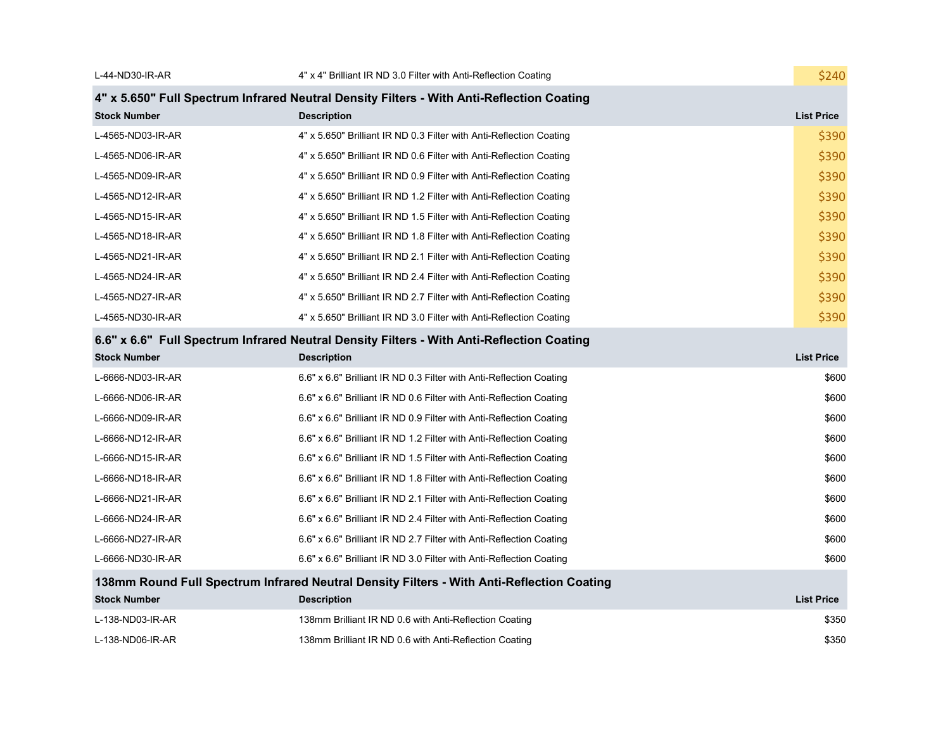| L-44-ND30-IR-AR     | 4" x 4" Brilliant IR ND 3.0 Filter with Anti-Reflection Coating                           | \$240             |
|---------------------|-------------------------------------------------------------------------------------------|-------------------|
|                     | 4" x 5.650" Full Spectrum Infrared Neutral Density Filters - With Anti-Reflection Coating |                   |
| <b>Stock Number</b> | <b>Description</b>                                                                        | <b>List Price</b> |
| L-4565-ND03-IR-AR   | 4" x 5.650" Brilliant IR ND 0.3 Filter with Anti-Reflection Coating                       | \$390             |
| L-4565-ND06-IR-AR   | 4" x 5.650" Brilliant IR ND 0.6 Filter with Anti-Reflection Coating                       | \$390             |
| L-4565-ND09-IR-AR   | 4" x 5.650" Brilliant IR ND 0.9 Filter with Anti-Reflection Coating                       | \$390             |
| L-4565-ND12-IR-AR   | 4" x 5.650" Brilliant IR ND 1.2 Filter with Anti-Reflection Coating                       | \$390             |
| L-4565-ND15-IR-AR   | 4" x 5.650" Brilliant IR ND 1.5 Filter with Anti-Reflection Coating                       | \$390             |
| L-4565-ND18-IR-AR   | 4" x 5.650" Brilliant IR ND 1.8 Filter with Anti-Reflection Coating                       | \$390             |
| L-4565-ND21-IR-AR   | 4" x 5.650" Brilliant IR ND 2.1 Filter with Anti-Reflection Coating                       | \$390             |
| L-4565-ND24-IR-AR   | 4" x 5.650" Brilliant IR ND 2.4 Filter with Anti-Reflection Coating                       | \$390             |
| L-4565-ND27-IR-AR   | 4" x 5.650" Brilliant IR ND 2.7 Filter with Anti-Reflection Coating                       | \$390             |
| L-4565-ND30-IR-AR   | 4" x 5.650" Brilliant IR ND 3.0 Filter with Anti-Reflection Coating                       | \$390             |
|                     | 6.6" x 6.6" Full Spectrum Infrared Neutral Density Filters - With Anti-Reflection Coating |                   |
| <b>Stock Number</b> | <b>Description</b>                                                                        | <b>List Price</b> |
| L-6666-ND03-IR-AR   | 6.6" x 6.6" Brilliant IR ND 0.3 Filter with Anti-Reflection Coating                       | \$600             |
| L-6666-ND06-IR-AR   | 6.6" x 6.6" Brilliant IR ND 0.6 Filter with Anti-Reflection Coating                       | \$600             |
| L-6666-ND09-IR-AR   | 6.6" x 6.6" Brilliant IR ND 0.9 Filter with Anti-Reflection Coating                       | \$600             |
| L-6666-ND12-IR-AR   | 6.6" x 6.6" Brilliant IR ND 1.2 Filter with Anti-Reflection Coating                       | \$600             |
| L-6666-ND15-IR-AR   | 6.6" x 6.6" Brilliant IR ND 1.5 Filter with Anti-Reflection Coating                       | \$600             |
| L-6666-ND18-IR-AR   | 6.6" x 6.6" Brilliant IR ND 1.8 Filter with Anti-Reflection Coating                       | \$600             |
| L-6666-ND21-IR-AR   | 6.6" x 6.6" Brilliant IR ND 2.1 Filter with Anti-Reflection Coating                       | \$600             |
| L-6666-ND24-IR-AR   | 6.6" x 6.6" Brilliant IR ND 2.4 Filter with Anti-Reflection Coating                       | \$600             |
| L-6666-ND27-IR-AR   | 6.6" x 6.6" Brilliant IR ND 2.7 Filter with Anti-Reflection Coating                       | \$600             |
| L-6666-ND30-IR-AR   | 6.6" x 6.6" Brilliant IR ND 3.0 Filter with Anti-Reflection Coating                       | \$600             |
|                     | 138mm Round Full Spectrum Infrared Neutral Density Filters - With Anti-Reflection Coating |                   |
| <b>Stock Number</b> | <b>Description</b>                                                                        | <b>List Price</b> |
| L-138-ND03-IR-AR    | 138mm Brilliant IR ND 0.6 with Anti-Reflection Coating                                    | \$350             |
| L-138-ND06-IR-AR    | 138mm Brilliant IR ND 0.6 with Anti-Reflection Coating                                    | \$350             |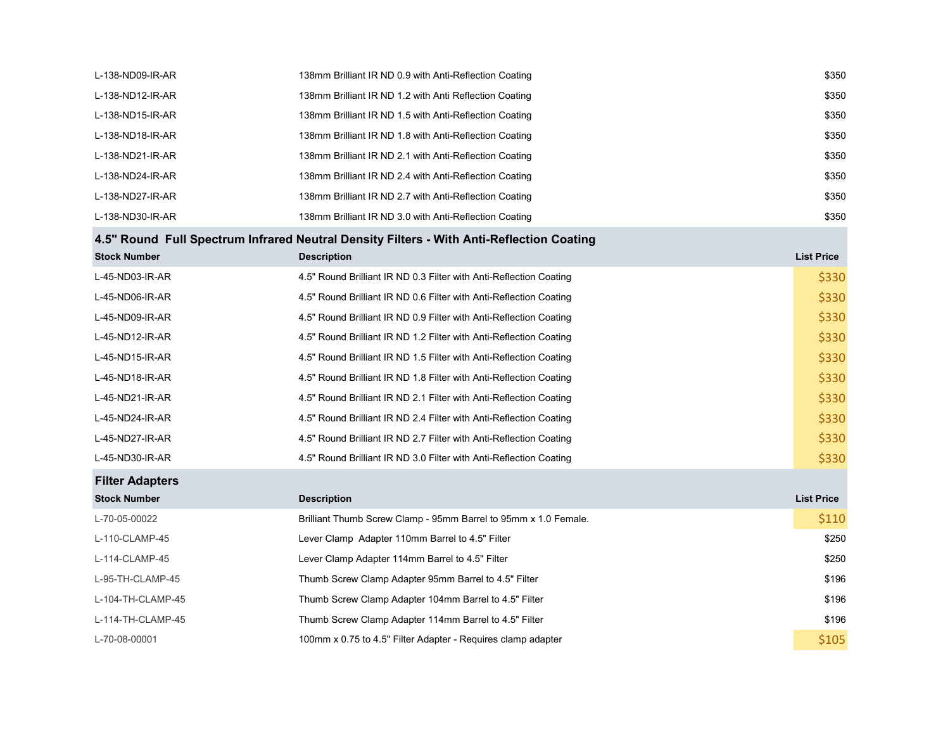| L-138-ND09-IR-AR       | 138mm Brilliant IR ND 0.9 with Anti-Reflection Coating                                   | \$350             |
|------------------------|------------------------------------------------------------------------------------------|-------------------|
| L-138-ND12-IR-AR       | 138mm Brilliant IR ND 1.2 with Anti Reflection Coating                                   | \$350             |
| L-138-ND15-IR-AR       | 138mm Brilliant IR ND 1.5 with Anti-Reflection Coating                                   | \$350             |
| L-138-ND18-IR-AR       | 138mm Brilliant IR ND 1.8 with Anti-Reflection Coating                                   | \$350             |
| L-138-ND21-IR-AR       | 138mm Brilliant IR ND 2.1 with Anti-Reflection Coating                                   | \$350             |
| L-138-ND24-IR-AR       | 138mm Brilliant IR ND 2.4 with Anti-Reflection Coating                                   | \$350             |
| L-138-ND27-IR-AR       | 138mm Brilliant IR ND 2.7 with Anti-Reflection Coating                                   | \$350             |
| L-138-ND30-IR-AR       | 138mm Brilliant IR ND 3.0 with Anti-Reflection Coating                                   | \$350             |
|                        | 4.5" Round Full Spectrum Infrared Neutral Density Filters - With Anti-Reflection Coating |                   |
| <b>Stock Number</b>    | <b>Description</b>                                                                       | <b>List Price</b> |
| L-45-ND03-IR-AR        | 4.5" Round Brilliant IR ND 0.3 Filter with Anti-Reflection Coating                       | \$330             |
| L-45-ND06-IR-AR        | 4.5" Round Brilliant IR ND 0.6 Filter with Anti-Reflection Coating                       | \$330             |
| L-45-ND09-IR-AR        | 4.5" Round Brilliant IR ND 0.9 Filter with Anti-Reflection Coating                       | \$330             |
| L-45-ND12-IR-AR        | 4.5" Round Brilliant IR ND 1.2 Filter with Anti-Reflection Coating                       | \$330             |
| L-45-ND15-IR-AR        | 4.5" Round Brilliant IR ND 1.5 Filter with Anti-Reflection Coating                       | \$330             |
| L-45-ND18-IR-AR        | 4.5" Round Brilliant IR ND 1.8 Filter with Anti-Reflection Coating                       | \$330             |
| L-45-ND21-IR-AR        | 4.5" Round Brilliant IR ND 2.1 Filter with Anti-Reflection Coating                       | \$330             |
| L-45-ND24-IR-AR        | 4.5" Round Brilliant IR ND 2.4 Filter with Anti-Reflection Coating                       | \$330             |
| L-45-ND27-IR-AR        | 4.5" Round Brilliant IR ND 2.7 Filter with Anti-Reflection Coating                       | \$330             |
| L-45-ND30-IR-AR        | 4.5" Round Brilliant IR ND 3.0 Filter with Anti-Reflection Coating                       | \$330             |
| <b>Filter Adapters</b> |                                                                                          |                   |
| <b>Stock Number</b>    | <b>Description</b>                                                                       | <b>List Price</b> |
| L-70-05-00022          | Brilliant Thumb Screw Clamp - 95mm Barrel to 95mm x 1.0 Female.                          | \$110             |
| L-110-CLAMP-45         | Lever Clamp Adapter 110mm Barrel to 4.5" Filter                                          | \$250             |
| L-114-CLAMP-45         | Lever Clamp Adapter 114mm Barrel to 4.5" Filter                                          | \$250             |
| L-95-TH-CLAMP-45       | Thumb Screw Clamp Adapter 95mm Barrel to 4.5" Filter                                     | \$196             |
| L-104-TH-CLAMP-45      | Thumb Screw Clamp Adapter 104mm Barrel to 4.5" Filter                                    | \$196             |
| L-114-TH-CLAMP-45      | Thumb Screw Clamp Adapter 114mm Barrel to 4.5" Filter                                    | \$196             |
| L-70-08-00001          | 100mm x 0.75 to 4.5" Filter Adapter - Requires clamp adapter                             | \$105             |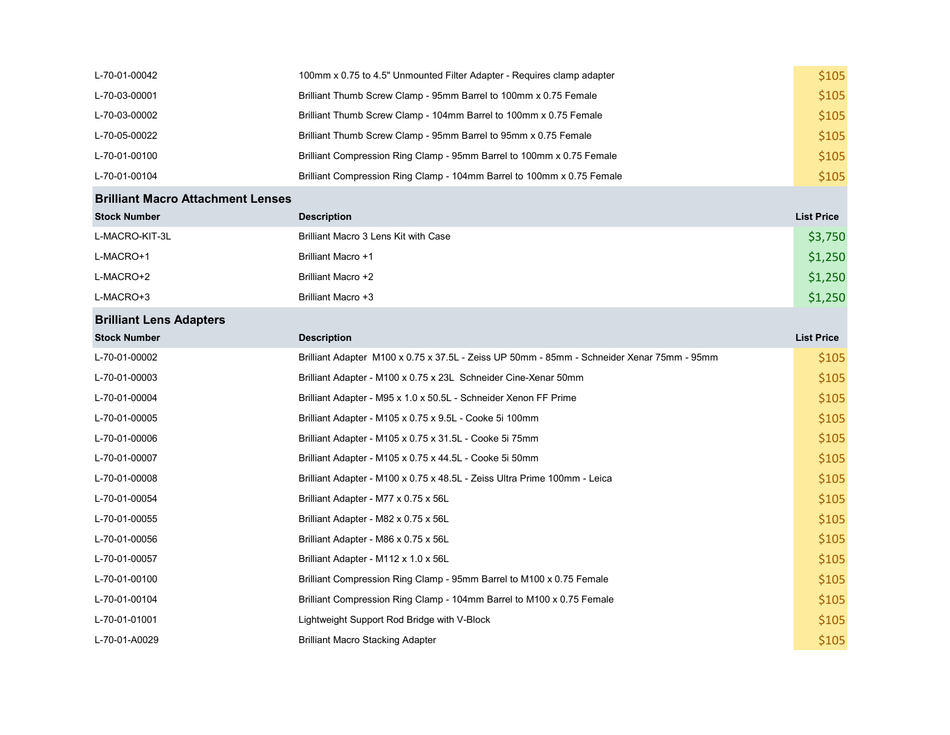| L-70-01-00042                            | 100mm x 0.75 to 4.5" Unmounted Filter Adapter - Requires clamp adapter | \$105             |
|------------------------------------------|------------------------------------------------------------------------|-------------------|
| L-70-03-00001                            | Brilliant Thumb Screw Clamp - 95mm Barrel to 100mm x 0.75 Female       | \$105             |
| L-70-03-00002                            | Brilliant Thumb Screw Clamp - 104mm Barrel to 100mm x 0.75 Female      | \$105             |
| L-70-05-00022                            | Brilliant Thumb Screw Clamp - 95mm Barrel to 95mm x 0.75 Female        | \$105             |
| L-70-01-00100                            | Brilliant Compression Ring Clamp - 95mm Barrel to 100mm x 0.75 Female  | \$105             |
| L-70-01-00104                            | Brilliant Compression Ring Clamp - 104mm Barrel to 100mm x 0.75 Female | \$105             |
| <b>Brilliant Macro Attachment Lenses</b> |                                                                        |                   |
| <b>Stock Number</b>                      | <b>Description</b>                                                     | <b>List Price</b> |
|                                          |                                                                        |                   |

| L-MACRO-KIT-3L | Brilliant Macro 3 Lens Kit with Case | \$3,750 |
|----------------|--------------------------------------|---------|
| L-MACRO+1      | <b>Brilliant Macro +1</b>            | \$1,250 |
| L-MACRO+2      | Brilliant Macro +2                   | \$1,250 |
| L-MACRO+3      | Brilliant Macro +3                   | \$1,250 |

## Brilliant Lens Adapters

| <b>Stock Number</b> | <b>Description</b>                                                                         | <b>List Price</b> |
|---------------------|--------------------------------------------------------------------------------------------|-------------------|
| L-70-01-00002       | Brilliant Adapter M100 x 0.75 x 37.5L - Zeiss UP 50mm - 85mm - Schneider Xenar 75mm - 95mm | \$105             |
| L-70-01-00003       | Brilliant Adapter - M100 x 0.75 x 23L Schneider Cine-Xenar 50mm                            | \$105             |
| L-70-01-00004       | Brilliant Adapter - M95 x 1.0 x 50.5L - Schneider Xenon FF Prime                           | \$105             |
| L-70-01-00005       | Brilliant Adapter - M105 x 0.75 x 9.5L - Cooke 5i 100mm                                    | \$105             |
| L-70-01-00006       | Brilliant Adapter - M105 x 0.75 x 31.5L - Cooke 5i 75mm                                    | \$105             |
| L-70-01-00007       | Brilliant Adapter - M105 x 0.75 x 44.5L - Cooke 5i 50mm                                    | \$105             |
| L-70-01-00008       | Brilliant Adapter - M100 x 0.75 x 48.5L - Zeiss Ultra Prime 100mm - Leica                  | \$105             |
| L-70-01-00054       | Brilliant Adapter - M77 x 0.75 x 56L                                                       | \$105             |
| L-70-01-00055       | Brilliant Adapter - M82 x 0.75 x 56L                                                       | \$105             |
| L-70-01-00056       | Brilliant Adapter - M86 x 0.75 x 56L                                                       | \$105             |
| L-70-01-00057       | Brilliant Adapter - M112 x 1.0 x 56L                                                       | \$105             |
| L-70-01-00100       | Brilliant Compression Ring Clamp - 95mm Barrel to M100 x 0.75 Female                       | \$105             |
| L-70-01-00104       | Brilliant Compression Ring Clamp - 104mm Barrel to M100 x 0.75 Female                      | \$105             |
| L-70-01-01001       | Lightweight Support Rod Bridge with V-Block                                                | \$105             |
| L-70-01-A0029       | <b>Brilliant Macro Stacking Adapter</b>                                                    | \$105             |